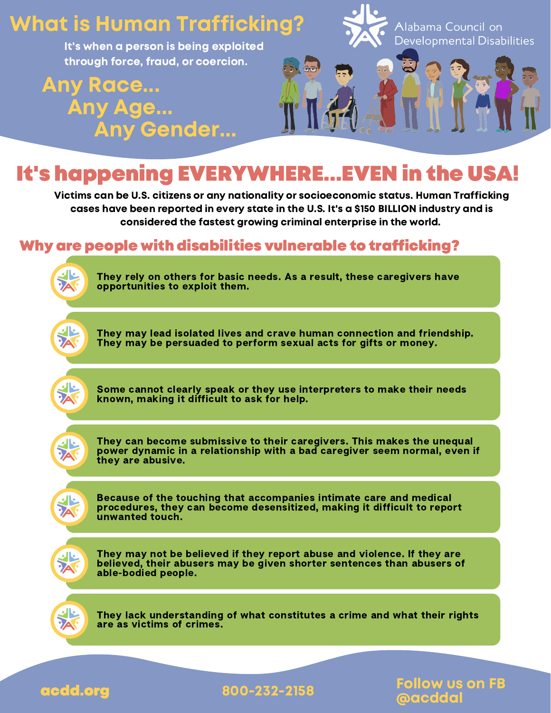## What is Human Trafficking?

It's when a person is being exploited through force, fraud, or coercion.

Any Race... Any Age... Any Gender...



## It's happening EVERYWHERE...EVEN in the USA!

Victims can be U.S. citizens or any nationality or socioeconomic status. Human Trafficking cases have been reported in every state in the U.S. It's a \$150 BILLION industry and is considered the fastest growing criminal enterprise in the world.

## Why are people with disabilities vulnerable to trafficking?



They rely on others for basic needs. As a result, these caregivers have opportunities to exploit them.



They may lead isolated lives and crave human connection and friendship. They may be persuaded to perform sexual acts for gifts or money.



Some cannot clearly speak or they use interpreters to make their needs known, making it difficult to ask for help.



They can become submissive to their caregivers. This makes the unequal power dynamic in a relationship with a bad caregiver seem normal, even if they are abusive.

**DA** 

Because of the touching that accompanies intimate care and medical procedures, they can become desensitized, making it difficult to report unwanted touch.



They may not be believed if they report abuse and violence. If they are believed, their abusers may be given shorter sentences than abusers of able-bodied people.

They lack understanding of what constitutes a crime and what their rights are as victims of crimes.



acdd.org 800-232-2158

**Ilow us on FB** @acddal